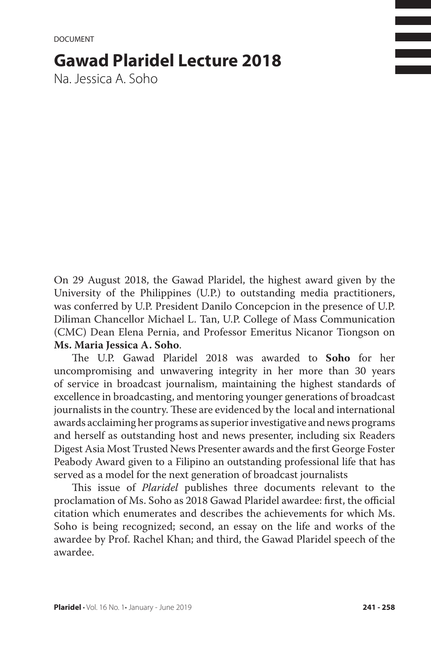# **Gawad Plaridel Lecture 2018**

Na. Jessica A. Soho

On 29 August 2018, the Gawad Plaridel, the highest award given by the University of the Philippines (U.P.) to outstanding media practitioners, was conferred by U.P. President Danilo Concepcion in the presence of U.P. Diliman Chancellor Michael L. Tan, U.P. College of Mass Communication (CMC) Dean Elena Pernia, and Professor Emeritus Nicanor Tiongson on **Ms. Maria Jessica A. Soho**.

The U.P. Gawad Plaridel 2018 was awarded to **Soho** for her uncompromising and unwavering integrity in her more than 30 years of service in broadcast journalism, maintaining the highest standards of excellence in broadcasting, and mentoring younger generations of broadcast journalists in the country. These are evidenced by the local and international awards acclaiming her programs as superior investigative and news programs and herself as outstanding host and news presenter, including six Readers Digest Asia Most Trusted News Presenter awards and the first George Foster Peabody Award given to a Filipino an outstanding professional life that has served as a model for the next generation of broadcast journalists

This issue of *Plaridel* publishes three documents relevant to the proclamation of Ms. Soho as 2018 Gawad Plaridel awardee: first, the official citation which enumerates and describes the achievements for which Ms. Soho is being recognized; second, an essay on the life and works of the awardee by Prof. Rachel Khan; and third, the Gawad Plaridel speech of the awardee.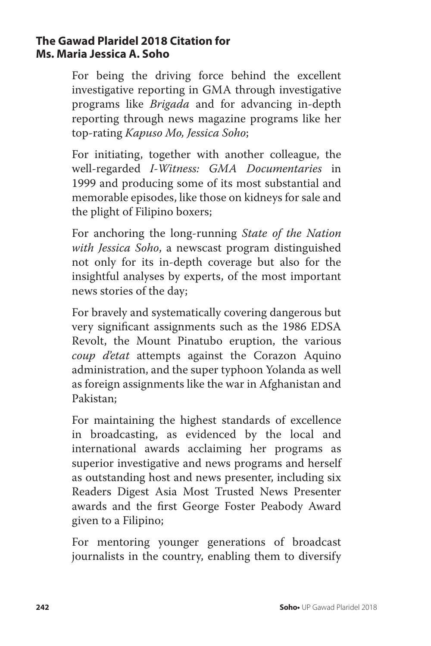### **The Gawad Plaridel 2018 Citation for Ms. Maria Jessica A. Soho**

For being the driving force behind the excellent investigative reporting in GMA through investigative programs like *Brigada* and for advancing in-depth reporting through news magazine programs like her top-rating *Kapuso Mo, Jessica Soho*;

For initiating, together with another colleague, the well-regarded *I-Witness: GMA Documentaries* in 1999 and producing some of its most substantial and memorable episodes, like those on kidneys for sale and the plight of Filipino boxers;

For anchoring the long-running *State of the Nation with Jessica Soho*, a newscast program distinguished not only for its in-depth coverage but also for the insightful analyses by experts, of the most important news stories of the day;

For bravely and systematically covering dangerous but very significant assignments such as the 1986 EDSA Revolt, the Mount Pinatubo eruption, the various *coup d'etat* attempts against the Corazon Aquino administration, and the super typhoon Yolanda as well as foreign assignments like the war in Afghanistan and Pakistan;

For maintaining the highest standards of excellence in broadcasting, as evidenced by the local and international awards acclaiming her programs as superior investigative and news programs and herself as outstanding host and news presenter, including six Readers Digest Asia Most Trusted News Presenter awards and the first George Foster Peabody Award given to a Filipino;

For mentoring younger generations of broadcast journalists in the country, enabling them to diversify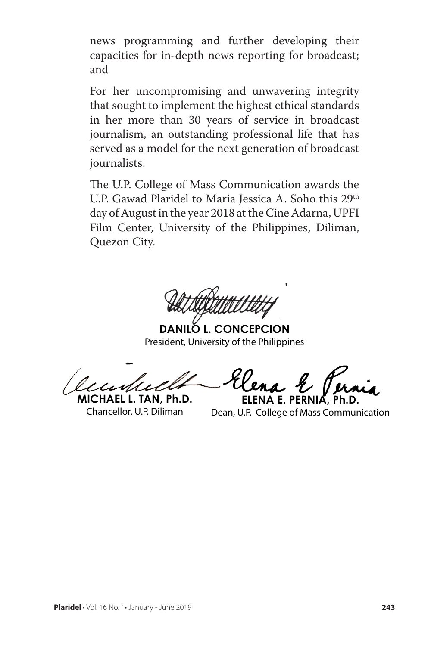news programming and further developing their capacities for in-depth news reporting for broadcast; and

For her uncompromising and unwavering integrity that sought to implement the highest ethical standards in her more than 30 years of service in broadcast journalism, an outstanding professional life that has served as a model for the next generation of broadcast journalists.

The U.P. College of Mass Communication awards the U.P. Gawad Plaridel to Maria Jessica A. Soho this 29<sup>th</sup> day of August in the year 2018 at the Cine Adarna, UPFI Film Center, University of the Philippines, Diliman, Quezon City.

**DANILO L. CONCEPCION** President, University of the Philippines

**MICHAEL L. TAN, Ph.D.**  Chancellor. U.P. Diliman

**ELENA E. PERN** 

Dean, U.P. College of Mass Communication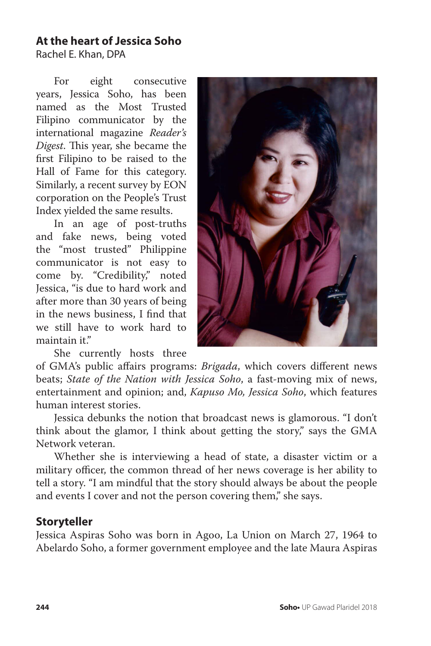# **At the heart of Jessica Soho**

Rachel E. Khan, DPA

For eight consecutive years, Jessica Soho, has been named as the Most Trusted Filipino communicator by the international magazine *Reader's Digest*. This year, she became the first Filipino to be raised to the Hall of Fame for this category. Similarly, a recent survey by EON corporation on the People's Trust Index yielded the same results.

In an age of post-truths and fake news, being voted the "most trusted" Philippine communicator is not easy to come by. "Credibility," noted Jessica, "is due to hard work and after more than 30 years of being in the news business, I find that we still have to work hard to maintain it."

She currently hosts three



of GMA's public affairs programs: *Brigada*, which covers different news beats; *State of the Nation with Jessica Soho*, a fast-moving mix of news, entertainment and opinion; and, *Kapuso Mo, Jessica Soho*, which features human interest stories.

Jessica debunks the notion that broadcast news is glamorous. "I don't think about the glamor, I think about getting the story," says the GMA Network veteran.

Whether she is interviewing a head of state, a disaster victim or a military officer, the common thread of her news coverage is her ability to tell a story. "I am mindful that the story should always be about the people and events I cover and not the person covering them," she says.

# **Storyteller**

Jessica Aspiras Soho was born in Agoo, La Union on March 27, 1964 to Abelardo Soho, a former government employee and the late Maura Aspiras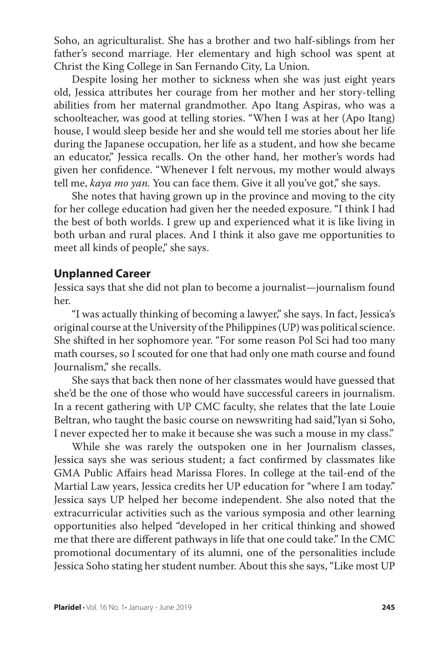Soho, an agriculturalist. She has a brother and two half-siblings from her father's second marriage. Her elementary and high school was spent at Christ the King College in San Fernando City, La Union.

Despite losing her mother to sickness when she was just eight years old, Jessica attributes her courage from her mother and her story-telling abilities from her maternal grandmother. Apo Itang Aspiras, who was a schoolteacher, was good at telling stories. "When I was at her (Apo Itang) house, I would sleep beside her and she would tell me stories about her life during the Japanese occupation, her life as a student, and how she became an educator," Jessica recalls. On the other hand, her mother's words had given her confidence. "Whenever I felt nervous, my mother would always tell me, *kaya mo yan.* You can face them. Give it all you've got," she says.

She notes that having grown up in the province and moving to the city for her college education had given her the needed exposure. "I think I had the best of both worlds. I grew up and experienced what it is like living in both urban and rural places. And I think it also gave me opportunities to meet all kinds of people," she says.

#### **Unplanned Career**

Jessica says that she did not plan to become a journalist—journalism found her.

"I was actually thinking of becoming a lawyer," she says. In fact, Jessica's original course at the University of the Philippines (UP) was political science. She shifted in her sophomore year. "For some reason Pol Sci had too many math courses, so I scouted for one that had only one math course and found Journalism," she recalls.

She says that back then none of her classmates would have guessed that she'd be the one of those who would have successful careers in journalism. In a recent gathering with UP CMC faculty, she relates that the late Louie Beltran, who taught the basic course on newswriting had said,"Iyan si Soho, I never expected her to make it because she was such a mouse in my class."

While she was rarely the outspoken one in her Journalism classes, Jessica says she was serious student; a fact confirmed by classmates like GMA Public Affairs head Marissa Flores. In college at the tail-end of the Martial Law years, Jessica credits her UP education for "where I am today." Jessica says UP helped her become independent. She also noted that the extracurricular activities such as the various symposia and other learning opportunities also helped "developed in her critical thinking and showed me that there are different pathways in life that one could take." In the CMC promotional documentary of its alumni, one of the personalities include Jessica Soho stating her student number. About this she says, "Like most UP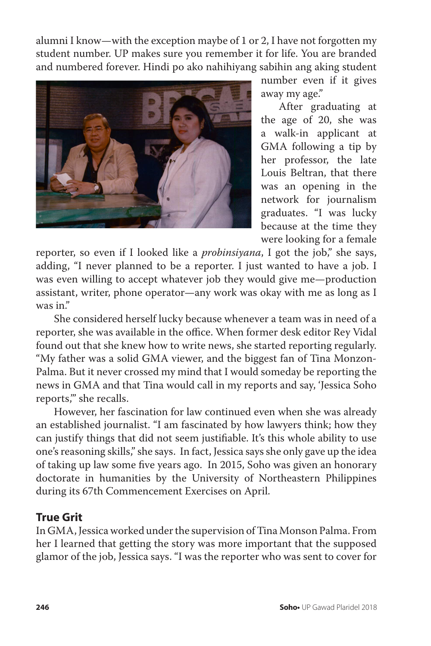alumni I know—with the exception maybe of 1 or 2, I have not forgotten my student number. UP makes sure you remember it for life. You are branded and numbered forever. Hindi po ako nahihiyang sabihin ang aking student



number even if it gives away my age."

After graduating at the age of 20, she was a walk-in applicant at GMA following a tip by her professor, the late Louis Beltran, that there was an opening in the network for journalism graduates. "I was lucky because at the time they were looking for a female

reporter, so even if I looked like a *probinsiyana*, I got the job," she says, adding, "I never planned to be a reporter. I just wanted to have a job. I was even willing to accept whatever job they would give me—production assistant, writer, phone operator—any work was okay with me as long as I was in."

She considered herself lucky because whenever a team was in need of a reporter, she was available in the office. When former desk editor Rey Vidal found out that she knew how to write news, she started reporting regularly. "My father was a solid GMA viewer, and the biggest fan of Tina Monzon-Palma. But it never crossed my mind that I would someday be reporting the news in GMA and that Tina would call in my reports and say, 'Jessica Soho reports,'" she recalls.

However, her fascination for law continued even when she was already an established journalist. "I am fascinated by how lawyers think; how they can justify things that did not seem justifiable. It's this whole ability to use one's reasoning skills," she says. In fact, Jessica says she only gave up the idea of taking up law some five years ago. In 2015, Soho was given an honorary doctorate in humanities by the University of Northeastern Philippines during its 67th Commencement Exercises on April.

# **True Grit**

In GMA, Jessica worked under the supervision of Tina Monson Palma. From her I learned that getting the story was more important that the supposed glamor of the job, Jessica says. "I was the reporter who was sent to cover for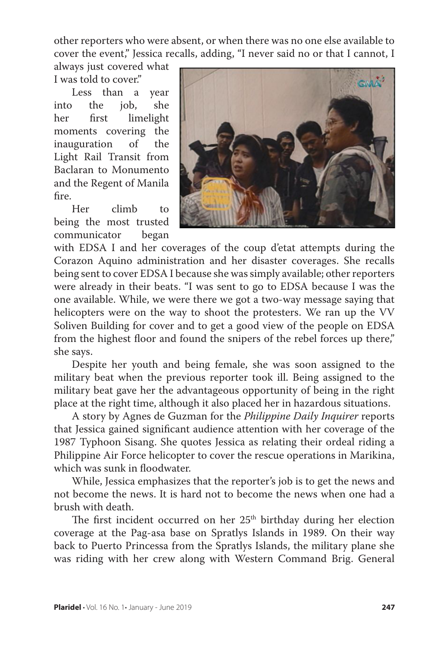other reporters who were absent, or when there was no one else available to cover the event," Jessica recalls, adding, "I never said no or that I cannot, I

always just covered what I was told to cover."

Less than a year into the job, she her first limelight moments covering the<br>inauguration of the inauguration of Light Rail Transit from Baclaran to Monumento and the Regent of Manila fire.<br>Her

climb to being the most trusted communicator began



with EDSA I and her coverages of the coup d'etat attempts during the Corazon Aquino administration and her disaster coverages. She recalls being sent to cover EDSA I because she was simply available; other reporters were already in their beats. "I was sent to go to EDSA because I was the one available. While, we were there we got a two-way message saying that helicopters were on the way to shoot the protesters. We ran up the VV Soliven Building for cover and to get a good view of the people on EDSA from the highest floor and found the snipers of the rebel forces up there," she says.

Despite her youth and being female, she was soon assigned to the military beat when the previous reporter took ill. Being assigned to the military beat gave her the advantageous opportunity of being in the right place at the right time, although it also placed her in hazardous situations.

A story by Agnes de Guzman for the *Philippine Daily Inquirer* reports that Jessica gained significant audience attention with her coverage of the 1987 Typhoon Sisang. She quotes Jessica as relating their ordeal riding a Philippine Air Force helicopter to cover the rescue operations in Marikina, which was sunk in floodwater.

While, Jessica emphasizes that the reporter's job is to get the news and not become the news. It is hard not to become the news when one had a brush with death.

The first incident occurred on her  $25<sup>th</sup>$  birthday during her election coverage at the Pag-asa base on Spratlys Islands in 1989. On their way back to Puerto Princessa from the Spratlys Islands, the military plane she was riding with her crew along with Western Command Brig. General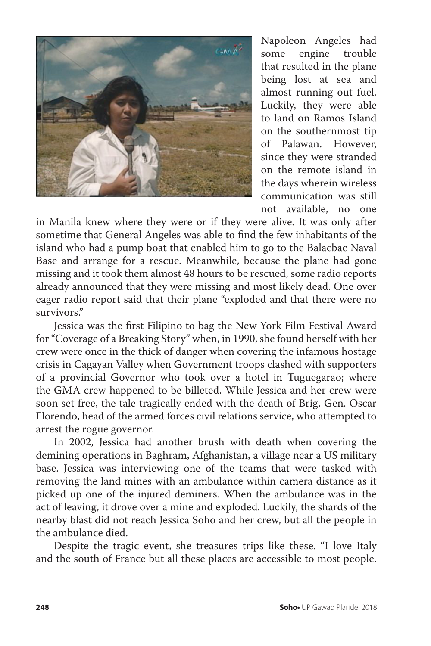

Napoleon Angeles had some engine trouble that resulted in the plane being lost at sea and almost running out fuel. Luckily, they were able to land on Ramos Island on the southernmost tip of Palawan. However, since they were stranded on the remote island in the days wherein wireless communication was still not available, no one

in Manila knew where they were or if they were alive. It was only after sometime that General Angeles was able to find the few inhabitants of the island who had a pump boat that enabled him to go to the Balacbac Naval Base and arrange for a rescue. Meanwhile, because the plane had gone missing and it took them almost 48 hours to be rescued, some radio reports already announced that they were missing and most likely dead. One over eager radio report said that their plane "exploded and that there were no survivors."

Jessica was the first Filipino to bag the New York Film Festival Award for "Coverage of a Breaking Story" when, in 1990, she found herself with her crew were once in the thick of danger when covering the infamous hostage crisis in Cagayan Valley when Government troops clashed with supporters of a provincial Governor who took over a hotel in Tuguegarao; where the GMA crew happened to be billeted. While Jessica and her crew were soon set free, the tale tragically ended with the death of Brig. Gen. Oscar Florendo, head of the armed forces civil relations service, who attempted to arrest the rogue governor.

In 2002, Jessica had another brush with death when covering the demining operations in Baghram, Afghanistan, a village near a US military base. Jessica was interviewing one of the teams that were tasked with removing the land mines with an ambulance within camera distance as it picked up one of the injured deminers. When the ambulance was in the act of leaving, it drove over a mine and exploded. Luckily, the shards of the nearby blast did not reach Jessica Soho and her crew, but all the people in the ambulance died.

Despite the tragic event, she treasures trips like these. "I love Italy and the south of France but all these places are accessible to most people.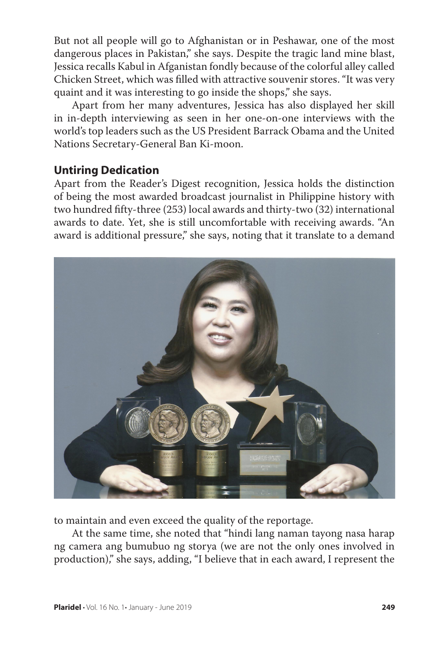But not all people will go to Afghanistan or in Peshawar, one of the most dangerous places in Pakistan," she says. Despite the tragic land mine blast, Jessica recalls Kabul in Afganistan fondly because of the colorful alley called Chicken Street, which was filled with attractive souvenir stores. "It was very quaint and it was interesting to go inside the shops," she says.

Apart from her many adventures, Jessica has also displayed her skill in in-depth interviewing as seen in her one-on-one interviews with the world's top leaders such as the US President Barrack Obama and the United Nations Secretary-General Ban Ki-moon.

# **Untiring Dedication**

Apart from the Reader's Digest recognition, Jessica holds the distinction of being the most awarded broadcast journalist in Philippine history with two hundred fifty-three (253) local awards and thirty-two (32) international awards to date. Yet, she is still uncomfortable with receiving awards. "An award is additional pressure," she says, noting that it translate to a demand



to maintain and even exceed the quality of the reportage.

At the same time, she noted that "hindi lang naman tayong nasa harap ng camera ang bumubuo ng storya (we are not the only ones involved in production)," she says, adding, "I believe that in each award, I represent the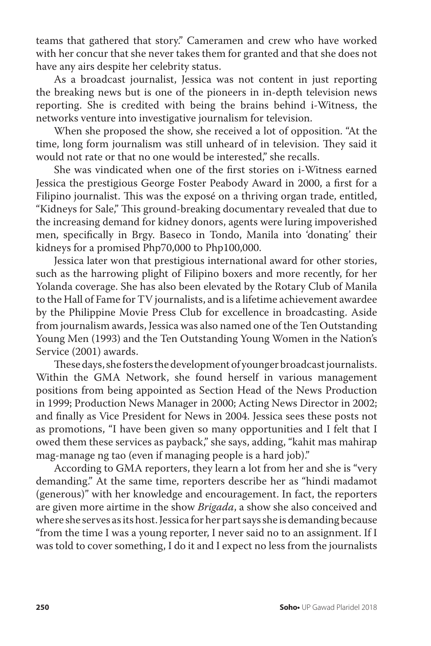teams that gathered that story." Cameramen and crew who have worked with her concur that she never takes them for granted and that she does not have any airs despite her celebrity status.

As a broadcast journalist, Jessica was not content in just reporting the breaking news but is one of the pioneers in in-depth television news reporting. She is credited with being the brains behind i-Witness, the networks venture into investigative journalism for television.

When she proposed the show, she received a lot of opposition. "At the time, long form journalism was still unheard of in television. They said it would not rate or that no one would be interested," she recalls.

She was vindicated when one of the first stories on i-Witness earned Jessica the prestigious George Foster Peabody Award in 2000, a first for a Filipino journalist. This was the exposé on a thriving organ trade, entitled, "Kidneys for Sale," This ground-breaking documentary revealed that due to the increasing demand for kidney donors, agents were luring impoverished men, specifically in Brgy. Baseco in Tondo, Manila into 'donating' their kidneys for a promised Php70,000 to Php100,000.

Jessica later won that prestigious international award for other stories, such as the harrowing plight of Filipino boxers and more recently, for her Yolanda coverage. She has also been elevated by the Rotary Club of Manila to the Hall of Fame for TV journalists, and is a lifetime achievement awardee by the Philippine Movie Press Club for excellence in broadcasting. Aside from journalism awards, Jessica was also named one of the Ten Outstanding Young Men (1993) and the Ten Outstanding Young Women in the Nation's Service (2001) awards.

These days, she fosters the development of younger broadcast journalists. Within the GMA Network, she found herself in various management positions from being appointed as Section Head of the News Production in 1999; Production News Manager in 2000; Acting News Director in 2002; and finally as Vice President for News in 2004. Jessica sees these posts not as promotions, "I have been given so many opportunities and I felt that I owed them these services as payback," she says, adding, "kahit mas mahirap mag-manage ng tao (even if managing people is a hard job)."

According to GMA reporters, they learn a lot from her and she is "very demanding." At the same time, reporters describe her as "hindi madamot (generous)" with her knowledge and encouragement. In fact, the reporters are given more airtime in the show *Brigada*, a show she also conceived and where she serves as its host. Jessica for her part says she is demanding because "from the time I was a young reporter, I never said no to an assignment. If I was told to cover something, I do it and I expect no less from the journalists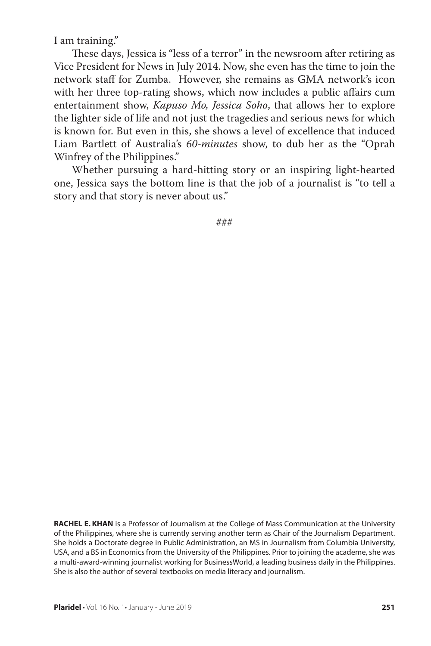I am training."

These days, Jessica is "less of a terror" in the newsroom after retiring as Vice President for News in July 2014. Now, she even has the time to join the network staff for Zumba. However, she remains as GMA network's icon with her three top-rating shows, which now includes a public affairs cum entertainment show, *Kapuso Mo, Jessica Soho*, that allows her to explore the lighter side of life and not just the tragedies and serious news for which is known for. But even in this, she shows a level of excellence that induced Liam Bartlett of Australia's *60-minutes* show, to dub her as the "Oprah Winfrey of the Philippines."

Whether pursuing a hard-hitting story or an inspiring light-hearted one, Jessica says the bottom line is that the job of a journalist is "to tell a story and that story is never about us."

###

**RACHEL E. KHAN** is a Professor of Journalism at the College of Mass Communication at the University of the Philippines, where she is currently serving another term as Chair of the Journalism Department. She holds a Doctorate degree in Public Administration, an MS in Journalism from Columbia University, USA, and a BS in Economics from the University of the Philippines. Prior to joining the academe, she was a multi-award-winning journalist working for BusinessWorld, a leading business daily in the Philippines. She is also the author of several textbooks on media literacy and journalism.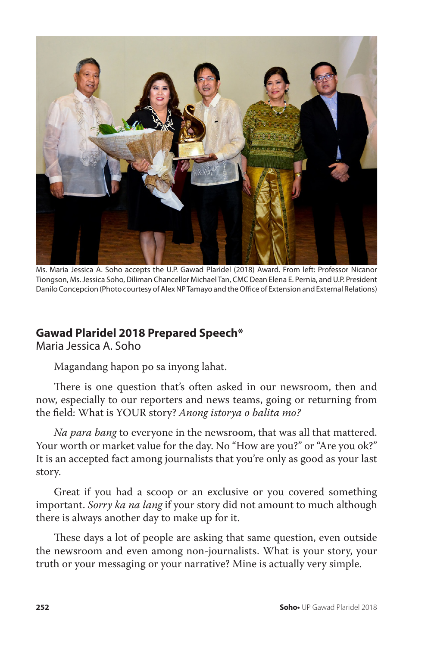

Ms. Maria Jessica A. Soho accepts the U.P. Gawad Plaridel (2018) Award. From left: Professor Nicanor Tiongson, Ms. Jessica Soho, Diliman Chancellor Michael Tan, CMC Dean Elena E. Pernia, and U.P. President Danilo Concepcion (Photo courtesy of Alex NP Tamayo and the Office of Extension and External Relations)

# **Gawad Plaridel 2018 Prepared Speech\***

Maria Jessica A. Soho

Magandang hapon po sa inyong lahat.

There is one question that's often asked in our newsroom, then and now, especially to our reporters and news teams, going or returning from the field: What is YOUR story? *Anong istorya o balita mo?*

*Na para bang* to everyone in the newsroom, that was all that mattered. Your worth or market value for the day. No "How are you?" or "Are you ok?" It is an accepted fact among journalists that you're only as good as your last story.

Great if you had a scoop or an exclusive or you covered something important. *Sorry ka na lang* if your story did not amount to much although there is always another day to make up for it.

These days a lot of people are asking that same question, even outside the newsroom and even among non-journalists. What is your story, your truth or your messaging or your narrative? Mine is actually very simple.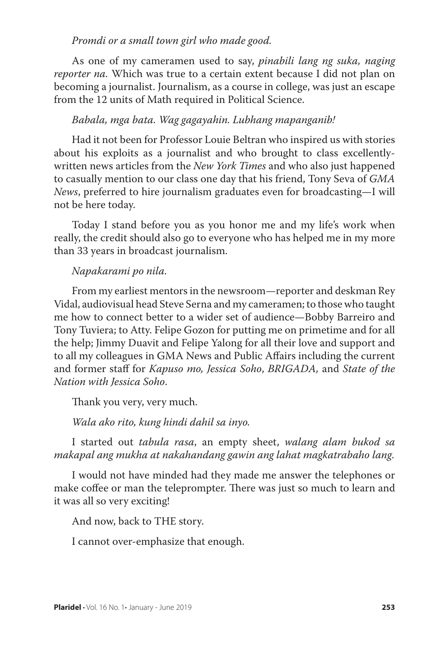#### *Promdi or a small town girl who made good.*

As one of my cameramen used to say, *pinabili lang ng suka, naging reporter na.* Which was true to a certain extent because I did not plan on becoming a journalist. Journalism, as a course in college, was just an escape from the 12 units of Math required in Political Science.

#### *Babala, mga bata. Wag gagayahin. Lubhang mapanganib!*

Had it not been for Professor Louie Beltran who inspired us with stories about his exploits as a journalist and who brought to class excellentlywritten news articles from the *New York Times* and who also just happened to casually mention to our class one day that his friend, Tony Seva of *GMA News*, preferred to hire journalism graduates even for broadcasting—I will not be here today.

Today I stand before you as you honor me and my life's work when really, the credit should also go to everyone who has helped me in my more than 33 years in broadcast journalism.

#### *Napakarami po nila.*

From my earliest mentors in the newsroom—reporter and deskman Rey Vidal, audiovisual head Steve Serna and my cameramen; to those who taught me how to connect better to a wider set of audience—Bobby Barreiro and Tony Tuviera; to Atty. Felipe Gozon for putting me on primetime and for all the help; Jimmy Duavit and Felipe Yalong for all their love and support and to all my colleagues in GMA News and Public Affairs including the current and former staff for *Kapuso mo, Jessica Soho*, *BRIGADA,* and *State of the Nation with Jessica Soho*.

Thank you very, very much.

*Wala ako rito, kung hindi dahil sa inyo.*

I started out *tabula rasa*, an empty sheet, *walang alam bukod sa makapal ang mukha at nakahandang gawin ang lahat magkatrabaho lang*.

I would not have minded had they made me answer the telephones or make coffee or man the teleprompter. There was just so much to learn and it was all so very exciting!

And now, back to THE story.

I cannot over-emphasize that enough.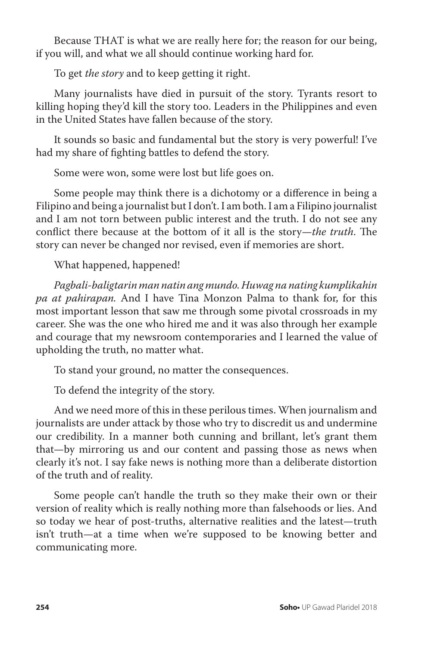Because THAT is what we are really here for; the reason for our being, if you will, and what we all should continue working hard for.

To get *the story* and to keep getting it right.

Many journalists have died in pursuit of the story. Tyrants resort to killing hoping they'd kill the story too. Leaders in the Philippines and even in the United States have fallen because of the story.

It sounds so basic and fundamental but the story is very powerful! I've had my share of fighting battles to defend the story.

Some were won, some were lost but life goes on.

Some people may think there is a dichotomy or a difference in being a Filipino and being a journalist but I don't. I am both. I am a Filipino journalist and I am not torn between public interest and the truth. I do not see any conflict there because at the bottom of it all is the story—*the truth*. The story can never be changed nor revised, even if memories are short.

What happened, happened!

*Pagbali-baligtarin man natin ang mundo. Huwag na nating kumplikahin pa at pahirapan.* And I have Tina Monzon Palma to thank for, for this most important lesson that saw me through some pivotal crossroads in my career. She was the one who hired me and it was also through her example and courage that my newsroom contemporaries and I learned the value of upholding the truth, no matter what.

To stand your ground, no matter the consequences.

To defend the integrity of the story.

And we need more of this in these perilous times. When journalism and journalists are under attack by those who try to discredit us and undermine our credibility. In a manner both cunning and brillant, let's grant them that—by mirroring us and our content and passing those as news when clearly it's not. I say fake news is nothing more than a deliberate distortion of the truth and of reality.

Some people can't handle the truth so they make their own or their version of reality which is really nothing more than falsehoods or lies. And so today we hear of post-truths, alternative realities and the latest—truth isn't truth—at a time when we're supposed to be knowing better and communicating more.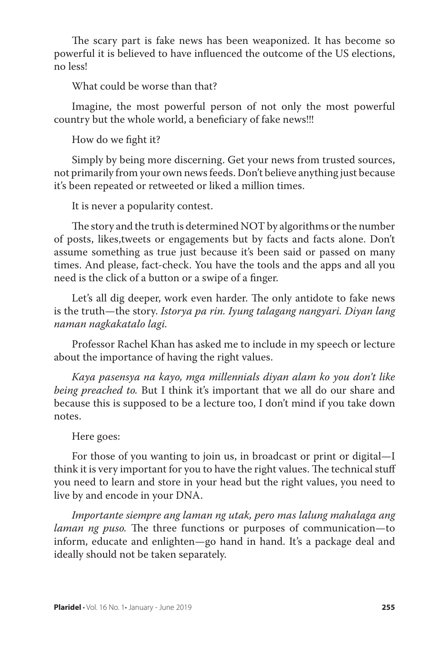The scary part is fake news has been weaponized. It has become so powerful it is believed to have influenced the outcome of the US elections, no less!

What could be worse than that?

Imagine, the most powerful person of not only the most powerful country but the whole world, a beneficiary of fake news!!!

How do we fight it?

Simply by being more discerning. Get your news from trusted sources, not primarily from your own news feeds. Don't believe anything just because it's been repeated or retweeted or liked a million times.

It is never a popularity contest.

The story and the truth is determined NOT by algorithms or the number of posts, likes,tweets or engagements but by facts and facts alone. Don't assume something as true just because it's been said or passed on many times. And please, fact-check. You have the tools and the apps and all you need is the click of a button or a swipe of a finger.

Let's all dig deeper, work even harder. The only antidote to fake news is the truth—the story. *Istorya pa rin. Iyung talagang nangyari. Diyan lang naman nagkakatalo lagi.*

Professor Rachel Khan has asked me to include in my speech or lecture about the importance of having the right values.

*Kaya pasensya na kayo, mga millennials diyan alam ko you don't like being preached to.* But I think it's important that we all do our share and because this is supposed to be a lecture too, I don't mind if you take down notes.

#### Here goes:

For those of you wanting to join us, in broadcast or print or digital—I think it is very important for you to have the right values. The technical stuff you need to learn and store in your head but the right values, you need to live by and encode in your DNA.

*Importante siempre ang laman ng utak, pero mas lalung mahalaga ang laman ng puso.* The three functions or purposes of communication—to inform, educate and enlighten—go hand in hand. It's a package deal and ideally should not be taken separately.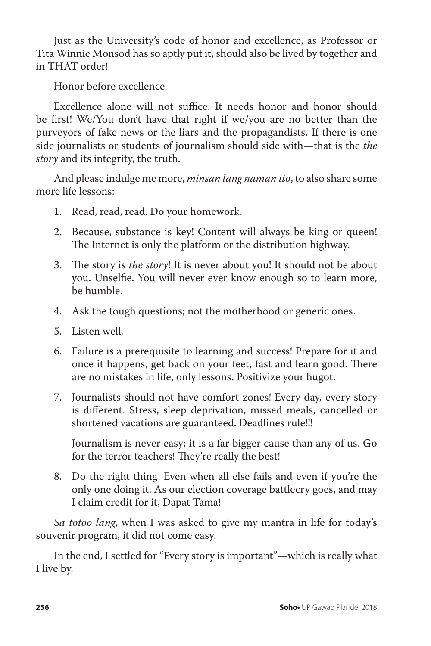Just as the University's code of honor and excellence, as Professor or Tita Winnie Monsod has so aptly put it, should also be lived by together and in THAT order!

Honor before excellence.

Excellence alone will not suffice. It needs honor and honor should be first! We/You don't have that right if we/you are no better than the purveyors of fake news or the liars and the propagandists. If there is one side journalists or students of journalism should side with—that is the *the story* and its integrity, the truth.

And please indulge me more, *minsan lang naman ito*, to also share some more life lessons:

- 1. Read, read, read. Do your homework.
- 2. Because, substance is key! Content will always be king or queen! The Internet is only the platform or the distribution highway.
- 3. The story is *the story*! It is never about you! It should not be about you. Unselfie. You will never ever know enough so to learn more, be humble.
- 4. Ask the tough questions; not the motherhood or generic ones.
- 5. Listen well.
- 6. Failure is a prerequisite to learning and success! Prepare for it and once it happens, get back on your feet, fast and learn good. There are no mistakes in life, only lessons. Positivize your hugot.
- 7. Journalists should not have comfort zones! Every day, every story is different. Stress, sleep deprivation, missed meals, cancelled or shortened vacations are guaranteed. Deadlines rule!!!

Journalism is never easy; it is a far bigger cause than any of us. Go for the terror teachers! They're really the best!

8. Do the right thing. Even when all else fails and even if you're the only one doing it. As our election coverage battlecry goes, and may I claim credit for it, Dapat Tama!

*Sa totoo lang*, when I was asked to give my mantra in life for today's souvenir program, it did not come easy.

In the end, I settled for "Every story is important"—which is really what I live by.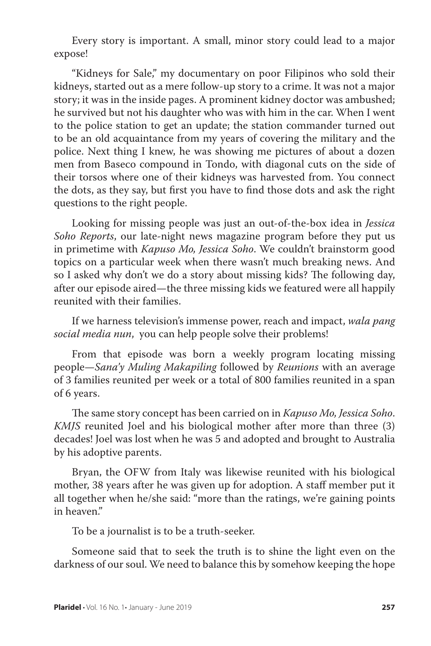Every story is important. A small, minor story could lead to a major expose!

"Kidneys for Sale," my documentary on poor Filipinos who sold their kidneys, started out as a mere follow-up story to a crime. It was not a major story; it was in the inside pages. A prominent kidney doctor was ambushed; he survived but not his daughter who was with him in the car. When I went to the police station to get an update; the station commander turned out to be an old acquaintance from my years of covering the military and the police. Next thing I knew, he was showing me pictures of about a dozen men from Baseco compound in Tondo, with diagonal cuts on the side of their torsos where one of their kidneys was harvested from. You connect the dots, as they say, but first you have to find those dots and ask the right questions to the right people.

Looking for missing people was just an out-of-the-box idea in *Jessica Soho Reports*, our late-night news magazine program before they put us in primetime with *Kapuso Mo, Jessica Soho*. We couldn't brainstorm good topics on a particular week when there wasn't much breaking news. And so I asked why don't we do a story about missing kids? The following day, after our episode aired—the three missing kids we featured were all happily reunited with their families.

If we harness television's immense power, reach and impact, *wala pang social media nun*, you can help people solve their problems!

From that episode was born a weekly program locating missing people—*Sana'y Muling Makapiling* followed by *Reunions* with an average of 3 families reunited per week or a total of 800 families reunited in a span of 6 years.

The same story concept has been carried on in *Kapuso Mo, Jessica Soho*. *KMJS* reunited Joel and his biological mother after more than three (3) decades! Joel was lost when he was 5 and adopted and brought to Australia by his adoptive parents.

Bryan, the OFW from Italy was likewise reunited with his biological mother, 38 years after he was given up for adoption. A staff member put it all together when he/she said: "more than the ratings, we're gaining points in heaven."

To be a journalist is to be a truth-seeker.

Someone said that to seek the truth is to shine the light even on the darkness of our soul. We need to balance this by somehow keeping the hope